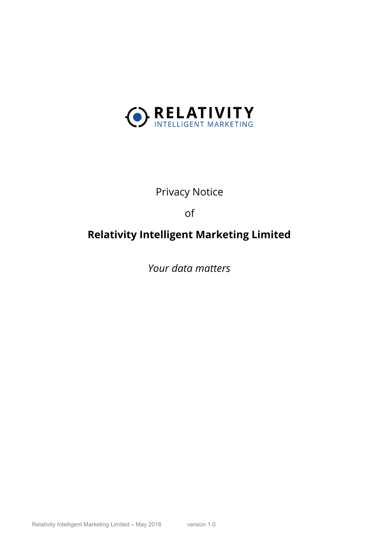

# Privacy Notice

of

# **Relativity Intelligent Marketing Limited**

*Your data matters*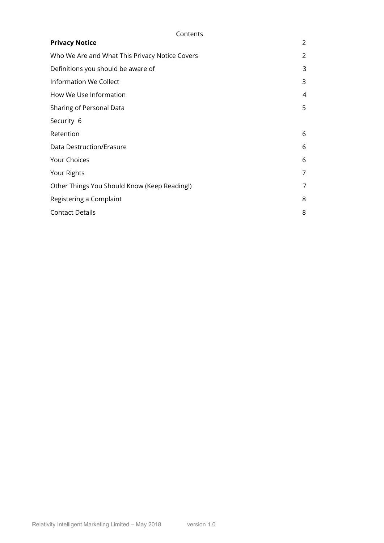<span id="page-1-0"></span>

| Contents                                       |   |
|------------------------------------------------|---|
| <b>Privacy Notice</b>                          | 2 |
| Who We Are and What This Privacy Notice Covers | 2 |
| Definitions you should be aware of             | 3 |
| Information We Collect                         | 3 |
| How We Use Information                         | 4 |
| Sharing of Personal Data                       | 5 |
| Security 6                                     |   |
| Retention                                      | 6 |
| Data Destruction/Erasure                       | 6 |
| Your Choices                                   | 6 |
| Your Rights                                    | 7 |
| Other Things You Should Know (Keep Reading!)   | 7 |
| Registering a Complaint                        | 8 |
| <b>Contact Details</b>                         | 8 |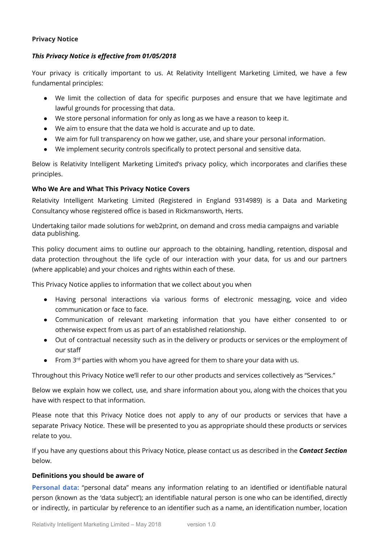## **Privacy Notice**

## *This Privacy Notice is effective from 01/05/2018*

Your privacy is critically important to us. At Relativity Intelligent Marketing Limited, we have a few fundamental principles:

- We limit the collection of data for specific purposes and ensure that we have legitimate and lawful grounds for processing that data.
- We store personal information for only as long as we have a reason to keep it.
- We aim to ensure that the data we hold is accurate and up to date.
- We aim for full transparency on how we gather, use, and share your personal information.
- We implement security controls specifically to protect personal and sensitive data.

Below is Relativity Intelligent Marketing Limited's privacy policy, which incorporates and clarifies these principles.

## <span id="page-2-0"></span>**Who We Are and What This Privacy Notice Covers**

<span id="page-2-1"></span>Relativity Intelligent Marketing Limited (Registered in England 9314989) is a Data and Marketing Consultancy whose registered office is based in Rickmansworth, Herts.

Undertaking tailor made solutions for web2print, on demand and cross media campaigns and variable data publishing.

This policy document aims to outline our approach to the obtaining, handling, retention, disposal and data protection throughout the life cycle of our interaction with your data, for us and our partners (where applicable) and your choices and rights within each of these.

This Privacy Notice applies to information that we collect about you when

- Having personal interactions via various forms of electronic messaging, voice and video communication or face to face.
- Communication of relevant marketing information that you have either consented to or otherwise expect from us as part of an established relationship.
- Out of contractual necessity such as in the delivery or products or services or the employment of our staff
- From  $3<sup>rd</sup>$  parties with whom you have agreed for them to share your data with us.

Throughout this Privacy Notice we'll refer to our other products and services collectively as "Services."

Below we explain how we collect, use, and share information about you, along with the choices that you have with respect to that information.

Please note that this Privacy Notice does not apply to any of our products or services that have a separate Privacy Notice. These will be presented to you as appropriate should these products or services relate to you.

If you have any questions about this Privacy Notice, please contact us as described in the *Contact Section* below.

#### **Definitions you should be aware of**

**Personal data:** "personal data" means any information relating to an identified or identifiable natural person (known as the 'data subject'); an identifiable natural person is one who can be identified, directly or indirectly, in particular by reference to an identifier such as a name, an identification number, location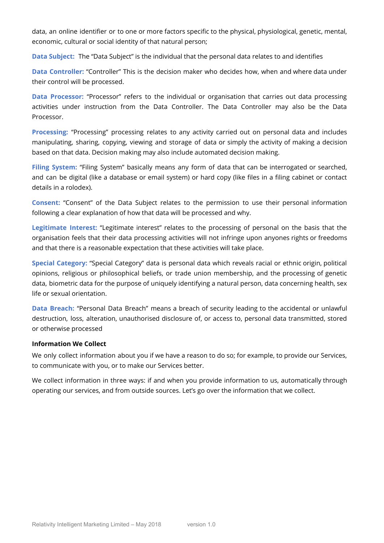data, an online identifier or to one or more factors specific to the physical, physiological, genetic, mental, economic, cultural or social identity of that natural person;

**Data Subject:** The "Data Subject" is the individual that the personal data relates to and identifies

**Data Controller:** "Controller" This is the decision maker who decides how, when and where data under their control will be processed.

**Data Processor:** "Processor" refers to the individual or organisation that carries out data processing activities under instruction from the Data Controller. The Data Controller may also be the Data Processor.

**Processing:** "Processing" processing relates to any activity carried out on personal data and includes manipulating, sharing, copying, viewing and storage of data or simply the activity of making a decision based on that data. Decision making may also include automated decision making.

**Filing System:** "Filing System" basically means any form of data that can be interrogated or searched, and can be digital (like a database or email system) or hard copy (like files in a filing cabinet or contact details in a rolodex).

**Consent:** "Consent" of the Data Subject relates to the permission to use their personal information following a clear explanation of how that data will be processed and why.

**Legitimate Interest:** "Legitimate interest" relates to the processing of personal on the basis that the organisation feels that their data processing activities will not infringe upon anyones rights or freedoms and that there is a reasonable expectation that these activities will take place.

**Special Category:** "Special Category" data is personal data which reveals racial or ethnic origin, political opinions, religious or philosophical beliefs, or trade union membership, and the processing of genetic data, biometric data for the purpose of uniquely identifying a natural person, data concerning health, sex life or sexual orientation.

**Data Breach:** "Personal Data Breach" means a breach of security leading to the accidental or unlawful destruction, loss, alteration, unauthorised disclosure of, or access to, personal data transmitted, stored or otherwise processed

#### <span id="page-3-0"></span>**Information We Collect**

We only collect information about you if we have a reason to do so; for example, to provide our Services, to communicate with you, or to make our Services better.

We collect information in three ways: if and when you provide information to us, automatically through operating our services, and from outside sources. Let's go over the information that we collect.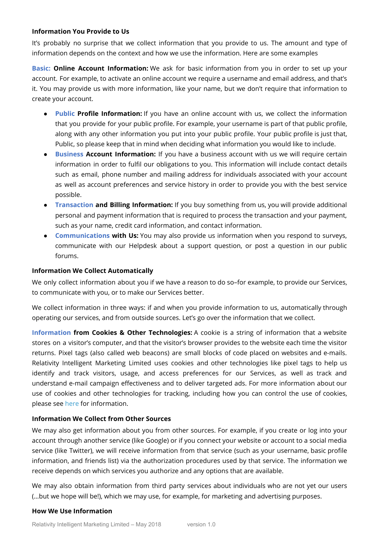### **Information You Provide to Us**

It's probably no surprise that we collect information that you provide to us. The amount and type of information depends on the context and how we use the information. Here are some examples

**Basic: Online Account Information:** We ask for basic information from you in order to set up your account. For example, to activate an online account we require a username and email address, and that's it. You may provide us with more information, like your name, but we don't require that information to create your account.

- **Public Profile Information:** If you have an online account with us, we collect the information that you provide for your public profile. For example, your username is part of that public profile, along with any other information you put into your public profile. Your public profile is just that, Public, so please keep that in mind when deciding what information you would like to include.
- **● Business Account Information:** If you have a business account with us we will require certain information in order to fulfil our obligations to you. This information will include contact details such as email, phone number and mailing address for individuals associated with your account as well as account preferences and service history in order to provide you with the best service possible.
- **Transaction and Billing Information:** If you buy something from us, you will provide additional personal and payment information that is required to process the transaction and your payment, such as your name, credit card information, and contact information.
- **Communications with Us:** You may also provide us information when you respond to surveys, communicate with our Helpdesk about a support question, or post a question in our public forums.

## **Information We Collect Automatically**

We only collect information about you if we have a reason to do so-for example, to provide our Services, to communicate with you, or to make our Services better.

We collect information in three ways: if and when you provide information to us, automatically through operating our services, and from outside sources. Let's go over the information that we collect.

**Information from Cookies & Other Technologies:** A cookie is a string of information that a website stores on a visitor's computer, and that the visitor's browser provides to the website each time the visitor returns. Pixel tags (also called web beacons) are small blocks of code placed on websites and e-mails. Relativity Intelligent Marketing Limited uses cookies and other technologies like pixel tags to help us identify and track visitors, usage, and access preferences for our Services, as well as track and understand e-mail campaign effectiveness and to deliver targeted ads. For more information about our use of cookies and other technologies for tracking, including how you can control the use of cookies, please see [here](https://www.aboutcookies.org/how-to-control-cookies/) for information.

## **Information We Collect from Other Sources**

We may also get information about you from other sources. For example, if you create or log into your account through another service (like Google) or if you connect your website or account to a social media service (like Twitter), we will receive information from that service (such as your username, basic profile information, and friends list) via the authorization procedures used by that service. The information we receive depends on which services you authorize and any options that are available.

We may also obtain information from third party services about individuals who are not yet our users (…but we hope will be!), which we may use, for example, for marketing and advertising purposes.

## <span id="page-4-0"></span>**How We Use Information**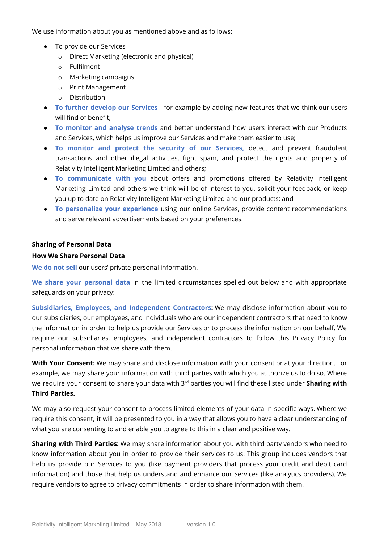We use information about you as mentioned above and as follows:

- To provide our Services
	- o Direct Marketing (electronic and physical)
	- o Fulfilment
	- o Marketing campaigns
	- o Print Management
	- o Distribution
- **To further develop our Services** for example by adding new features that we think our users will find of benefit;
- **To monitor and analyse trends** and better understand how users interact with our Products and Services, which helps us improve our Services and make them easier to use;
- **To monitor and protect the security of our Services,** detect and prevent fraudulent transactions and other illegal activities, fight spam, and protect the rights and property of Relativity Intelligent Marketing Limited and others;
- **To communicate with you** about offers and promotions offered by Relativity Intelligent Marketing Limited and others we think will be of interest to you, solicit your feedback, or keep you up to date on Relativity Intelligent Marketing Limited and our products; and
- **To personalize your experience** using our online Services, provide content recommendations and serve relevant advertisements based on your preferences.

#### <span id="page-5-0"></span>**Sharing of Personal Data**

#### **How We Share Personal Data**

**We do not sell** our users' private personal information.

**We share your personal data** in the limited circumstances spelled out below and with appropriate safeguards on your privacy:

**Subsidiaries, Employees, and Independent Contractors:** We may disclose information about you to our subsidiaries, our employees, and individuals who are our independent contractors that need to know the information in order to help us provide our Services or to process the information on our behalf. We require our subsidiaries, employees, and independent contractors to follow this Privacy Policy for personal information that we share with them.

**With Your Consent:** We may share and disclose information with your consent or at your direction. For example, we may share your information with third parties with which you authorize us to do so. Where we require your consent to share your data with 3<sup>rd</sup> parties you will find these listed under **Sharing with Third Parties.**

We may also request your consent to process limited elements of your data in specific ways. Where we require this consent, it will be presented to you in a way that allows you to have a clear understanding of what you are consenting to and enable you to agree to this in a clear and positive way.

**Sharing with Third Parties:** We may share information about you with third party vendors who need to know information about you in order to provide their services to us. This group includes vendors that help us provide our Services to you (like payment providers that process your credit and debit card information) and those that help us understand and enhance our Services (like analytics providers). We require vendors to agree to privacy commitments in order to share information with them.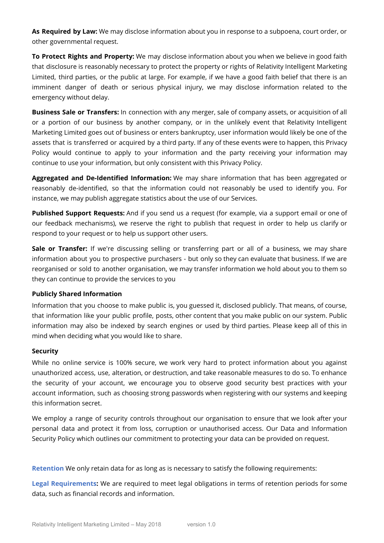**As Required by Law:** We may disclose information about you in response to a subpoena, court order, or other governmental request.

**To Protect Rights and Property:** We may disclose information about you when we believe in good faith that disclosure is reasonably necessary to protect the property or rights of Relativity Intelligent Marketing Limited, third parties, or the public at large. For example, if we have a good faith belief that there is an imminent danger of death or serious physical injury, we may disclose information related to the emergency without delay.

**Business Sale or Transfers:** In connection with any merger, sale of company assets, or acquisition of all or a portion of our business by another company, or in the unlikely event that Relativity Intelligent Marketing Limited goes out of business or enters bankruptcy, user information would likely be one of the assets that is transferred or acquired by a third party. If any of these events were to happen, this Privacy Policy would continue to apply to your information and the party receiving your information may continue to use your information, but only consistent with this Privacy Policy.

**Aggregated and De-Identified Information:** We may share information that has been aggregated or reasonably de-identified, so that the information could not reasonably be used to identify you. For instance, we may publish aggregate statistics about the use of our Services.

**Published Support Requests:** And if you send us a request (for example, via a support email or one of our feedback mechanisms), we reserve the right to publish that request in order to help us clarify or respond to your request or to help us support other users.

**Sale or Transfer:** If we're discussing selling or transferring part or all of a business, we may share information about you to prospective purchasers - but only so they can evaluate that business. If we are reorganised or sold to another organisation, we may transfer information we hold about you to them so they can continue to provide the services to you

## **Publicly Shared Information**

Information that you choose to make public is, you guessed it, disclosed publicly. That means, of course, that information like your public profile, posts, other content that you make public on our system. Public information may also be indexed by search engines or used by third parties. Please keep all of this in mind when deciding what you would like to share.

## <span id="page-6-0"></span>**Security**

While no online service is 100% secure, we work very hard to protect information about you against unauthorized access, use, alteration, or destruction, and take reasonable measures to do so. To enhance the security of your account, we encourage you to observe good security best practices with your account information, such as choosing strong passwords when registering with our systems and keeping this information secret.

<span id="page-6-1"></span>We employ a range of security controls throughout our organisation to ensure that we look after your personal data and protect it from loss, corruption or unauthorised access. Our Data and Information Security Policy which outlines our commitment to protecting your data can be provided on request.

**Retention** We only retain data for as long as is necessary to satisfy the following requirements:

**Legal Requirements:** We are required to meet legal obligations in terms of retention periods for some data, such as financial records and information.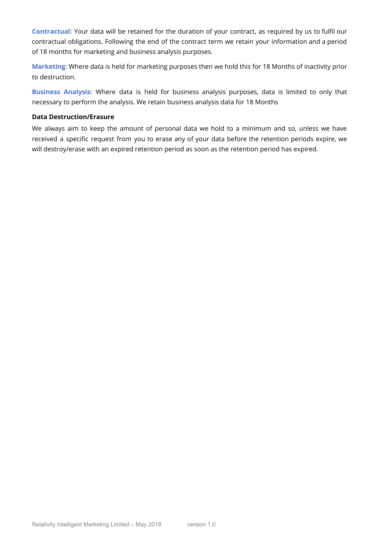**Contractual:** Your data will be retained for the duration of your contract, as required by us to fulfil our contractual obligations. Following the end of the contract term we retain your information and a period of 18 months for marketing and business analysis purposes.

<span id="page-7-0"></span>**Marketing:** Where data is held for marketing purposes then we hold this for 18 Months of inactivity prior to destruction.

**Business Analysis:** Where data is held for business analysis purposes, data is limited to only that necessary to perform the analysis. We retain business analysis data for 18 Months

#### **Data Destruction/Erasure**

<span id="page-7-1"></span>We always aim to keep the amount of personal data we hold to a minimum and so, unless we have received a specific request from you to erase any of your data before the retention periods expire, we will destroy/erase with an expired retention period as soon as the retention period has expired.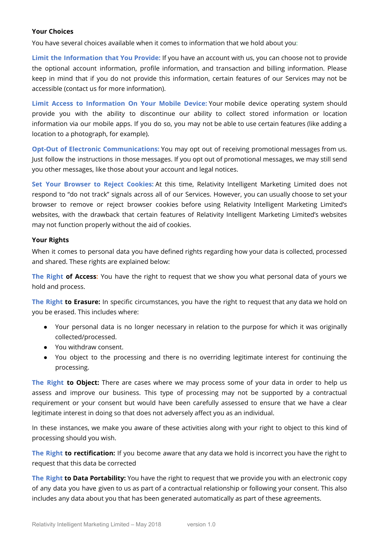### **Your Choices**

You have several choices available when it comes to information that we hold about you:

**Limit the Information that You Provide:** If you have an account with us, you can choose not to provide the optional account information, profile information, and transaction and billing information. Please keep in mind that if you do not provide this information, certain features of our Services may not be accessible (contact us for more information).

**Limit Access to Information On Your Mobile Device:** Your mobile device operating system should provide you with the ability to discontinue our ability to collect stored information or location information via our mobile apps. If you do so, you may not be able to use certain features (like adding a location to a photograph, for example).

**Opt-Out of Electronic Communications:** You may opt out of receiving promotional messages from us. Just follow the instructions in those messages. If you opt out of promotional messages, we may still send you other messages, like those about your account and legal notices.

**Set Your Browser to Reject Cookies:** At this time, Relativity Intelligent Marketing Limited does not respond to "do not track" signals across all of our Services. However, you can usually choose to set your browser to remove or reject browser cookies before using Relativity Intelligent Marketing Limited's websites, with the drawback that certain features of Relativity Intelligent Marketing Limited's websites may not function properly without the aid of cookies.

#### **Your Rights**

When it comes to personal data you have defined rights regarding how your data is collected, processed and shared. These rights are explained below:

**The Right of Access:** You have the right to request that we show you what personal data of yours we hold and process.

**The Right to Erasure:** In specific circumstances, you have the right to request that any data we hold on you be erased. This includes where:

- Your personal data is no longer necessary in relation to the purpose for which it was originally collected/processed.
- You withdraw consent.
- You object to the processing and there is no overriding legitimate interest for continuing the processing.

**The Right to Object:** There are cases where we may process some of your data in order to help us assess and improve our business. This type of processing may not be supported by a contractual requirement or your consent but would have been carefully assessed to ensure that we have a clear legitimate interest in doing so that does not adversely affect you as an individual.

In these instances, we make you aware of these activities along with your right to object to this kind of processing should you wish.

**The Right to rectification:** If you become aware that any data we hold is incorrect you have the right to request that this data be corrected

**The Right to Data Portability:** You have the right to request that we provide you with an electronic copy of any data you have given to us as part of a contractual relationship or following your consent. This also includes any data about you that has been generated automatically as part of these agreements.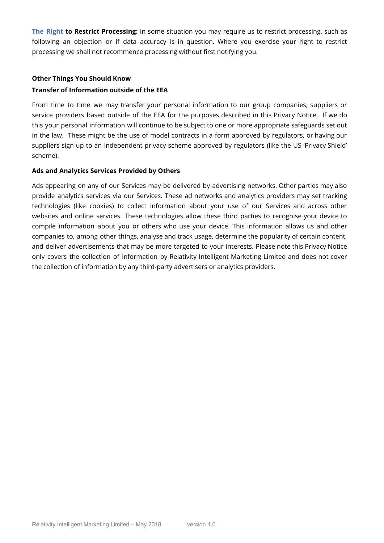**The Right to Restrict Processing:** In some situation you may require us to restrict processing, such as following an objection or if data accuracy is in question. Where you exercise your right to restrict processing we shall not recommence processing without first notifying you.

## **Other Things You Should Know**

## **Transfer of Information outside of the EEA**

From time to time we may transfer your personal information to our group companies, suppliers or service providers based outside of the EEA for the purposes described in this Privacy Notice. If we do this your personal information will continue to be subject to one or more appropriate safeguards set out in the law. These might be the use of model contracts in a form approved by regulators, or having our suppliers sign up to an independent privacy scheme approved by regulators (like the US 'Privacy Shield' scheme).

#### **Ads and Analytics Services Provided by Others**

Ads appearing on any of our Services may be delivered by advertising networks. Other parties may also provide analytics services via our Services. These ad networks and analytics providers may set tracking technologies (like cookies) to collect information about your use of our Services and across other websites and online services. These technologies allow these third parties to recognise your device to compile information about you or others who use your device. This information allows us and other companies to, among other things, analyse and track usage, determine the popularity of certain content, and deliver advertisements that may be more targeted to your interests. Please note this Privacy Notice only covers the collection of information by Relativity Intelligent Marketing Limited and does not cover the collection of information by any third-party advertisers or analytics providers.